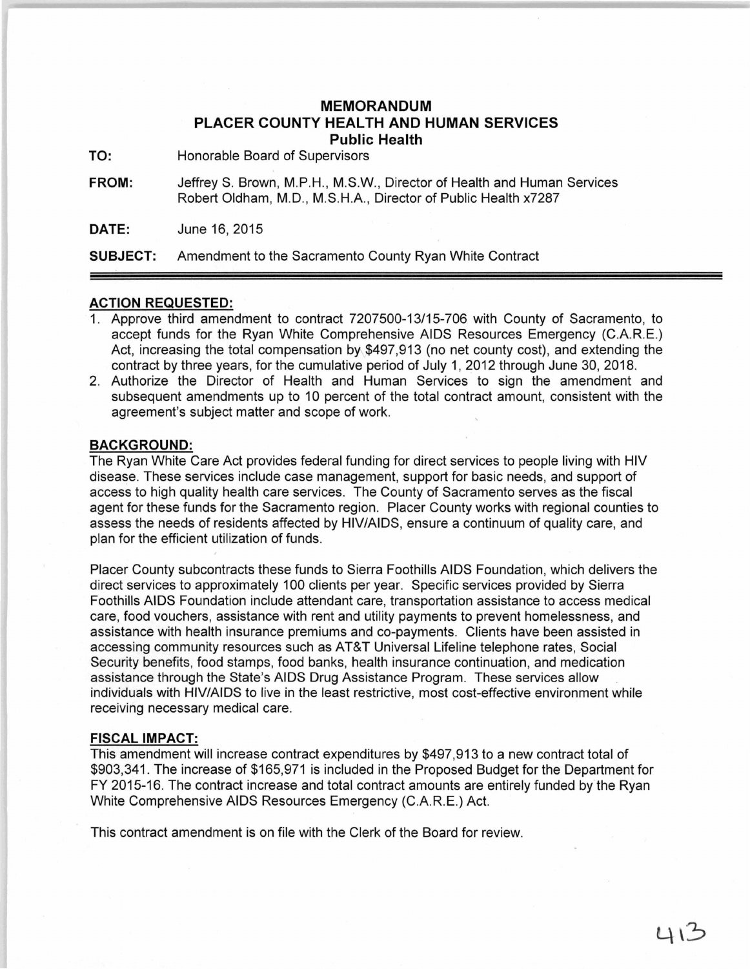## **MEMORANDUM PLACER COUNTY HEALTH AND HUMAN SERVICES Public Health**

**TO:** Honorable Board of Supervisors

**FROM:** JeffreyS. Brown, M.P.H., M.S.W., Director of Health and Human Services Robert Oldham, M.D., M.S.H.A., Director of Public Health x7287

**DATE:** June 16, 2015

**SUBJECT:** Amendment to the Sacramento County Ryan White Contract

## **ACTION REQUESTED:**

- 1. Approve third amendment to contract 7207500-13/15-706 with County of Sacramento, to accept funds for the Ryan White Comprehensive AIDS Resources Emergency (C.A.R.E.) Act, increasing the total compensation by \$497,913 (no net county cost), and extending the contract by three years, for the cumulative period of July 1, 2012 through June 30, 2018.
- 2. Authorize the Director of Health and Human Services to sign the amendment and subsequent amendments up to 10 percent of the total contract amount, consistent with the agreement's subject matter and scope of work.

## **BACKGROUND:**

The Ryan White Care Act provides federal funding for direct services to people living with HIV disease. These services include case management, support for basic needs, and support of access to high quality health care services. The County of Sacramento serves as the fiscal agent for these funds for the Sacramento region. Placer County works with regional counties to assess the needs of residents affected by HIV/AIDS, ensure a continuum of quality care, and plan for the efficient utilization of funds.

Placer County subcontracts these funds to Sierra Foothills AIDS Foundation, which delivers the direct services to approximately 100 clients per year. Specific services provided by Sierra Foothills AIDS Foundation include attendant care, transportation assistance to access medical care, food vouchers, assistance with rent and utility payments to prevent homelessness, and assistance with health insurance premiums and co-payments. Clients have been assisted in accessing community resources such as AT&T Universal Lifeline telephone rates, Social Security benefits, food stamps, food banks, health insurance continuation, and medication assistance through the State's AIDS Drug Assistance Program. These services allow individuals with HIV/AIDS to live in the least restrictive, most cost-effective environment while receiving necessary medical care.

## **FISCAL IMPACT:**

This amendment will increase contract expenditures by \$497,913 to a new contract total of \$903,341. The increase of \$165,971 is included in the Proposed Budget for the Department for FY 2015-16. The contract increase and total contract amounts are entirely funded by the Ryan White Comprehensive AIDS Resources Emergency (C.A.R.E.) Act.

This contract amendment is on file with the Clerk of the Board for review.